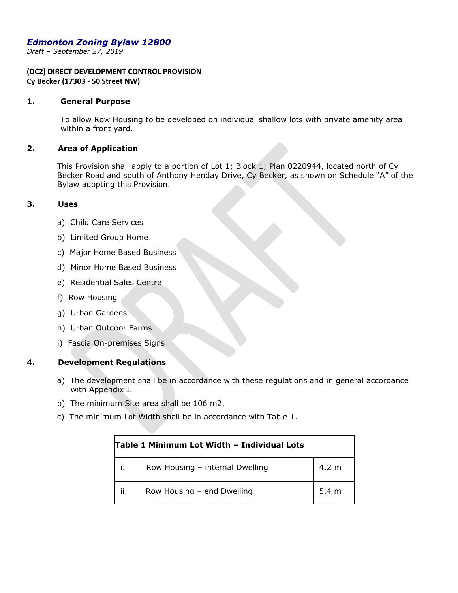# *Edmonton Zoning Bylaw 12800*

*Draft – September 27, 2019* 

## **(DC2) DIRECT DEVELOPMENT CONTROL PROVISION Cy Becker (17303 ‐ 50 Street NW)**

#### **1. General Purpose**

To allow Row Housing to be developed on individual shallow lots with private amenity area within a front yard.

### **2. Area of Application**

This Provision shall apply to a portion of Lot 1; Block 1; Plan 0220944, located north of Cy Becker Road and south of Anthony Henday Drive, Cy Becker, as shown on Schedule "A" of the Bylaw adopting this Provision.

#### **3. Uses**

- a) Child Care Services
- b) Limited Group Home
- c) Major Home Based Business
- d) Minor Home Based Business
- e) Residential Sales Centre
- f) Row Housing
- g) Urban Gardens
- h) Urban Outdoor Farms
- i) Fascia On-premises Signs

# **4. Development Regulations**

- a) The development shall be in accordance with these regulations and in general accordance with Appendix I.
- b) The minimum Site area shall be 106 m2.
- c) The minimum Lot Width shall be in accordance with Table 1.

|     | Table 1 Minimum Lot Width - Individual Lots |                 |  |  |
|-----|---------------------------------------------|-----------------|--|--|
|     | Row Housing - internal Dwelling             | $4.2 \text{ m}$ |  |  |
| ii. | Row Housing - end Dwelling                  | 5.4 m           |  |  |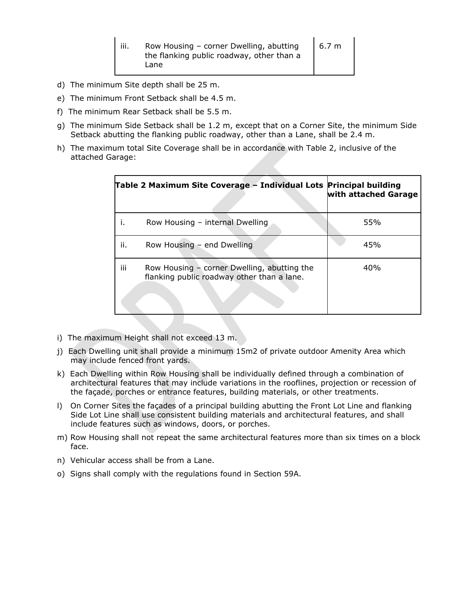| 6.7 <sub>m</sub><br>Row Housing - corner Dwelling, abutting<br><br>ш.<br>the flanking public roadway, other than a<br>Lane |  |
|----------------------------------------------------------------------------------------------------------------------------|--|
|----------------------------------------------------------------------------------------------------------------------------|--|

- d) The minimum Site depth shall be 25 m.
- e) The minimum Front Setback shall be 4.5 m.
- f) The minimum Rear Setback shall be 5.5 m.
- g) The minimum Side Setback shall be 1.2 m, except that on a Corner Site, the minimum Side Setback abutting the flanking public roadway, other than a Lane, shall be 2.4 m.
- h) The maximum total Site Coverage shall be in accordance with Table 2, inclusive of the attached Garage:

|     | Table 2 Maximum Site Coverage – Individual Lots Principal building                          | with attached Garage |
|-----|---------------------------------------------------------------------------------------------|----------------------|
|     | Row Housing - internal Dwelling                                                             | 55%                  |
| ii. | Row Housing - end Dwelling                                                                  | 45%                  |
| iii | Row Housing $-$ corner Dwelling, abutting the<br>flanking public roadway other than a lane. | 40%                  |

- i) The maximum Height shall not exceed 13 m.
- j) Each Dwelling unit shall provide a minimum 15m2 of private outdoor Amenity Area which may include fenced front yards.
- k) Each Dwelling within Row Housing shall be individually defined through a combination of architectural features that may include variations in the rooflines, projection or recession of the façade, porches or entrance features, building materials, or other treatments.
- l) On Corner Sites the façades of a principal building abutting the Front Lot Line and flanking Side Lot Line shall use consistent building materials and architectural features, and shall include features such as windows, doors, or porches.
- m) Row Housing shall not repeat the same architectural features more than six times on a block face.
- n) Vehicular access shall be from a Lane.
- o) Signs shall comply with the regulations found in Section 59A.